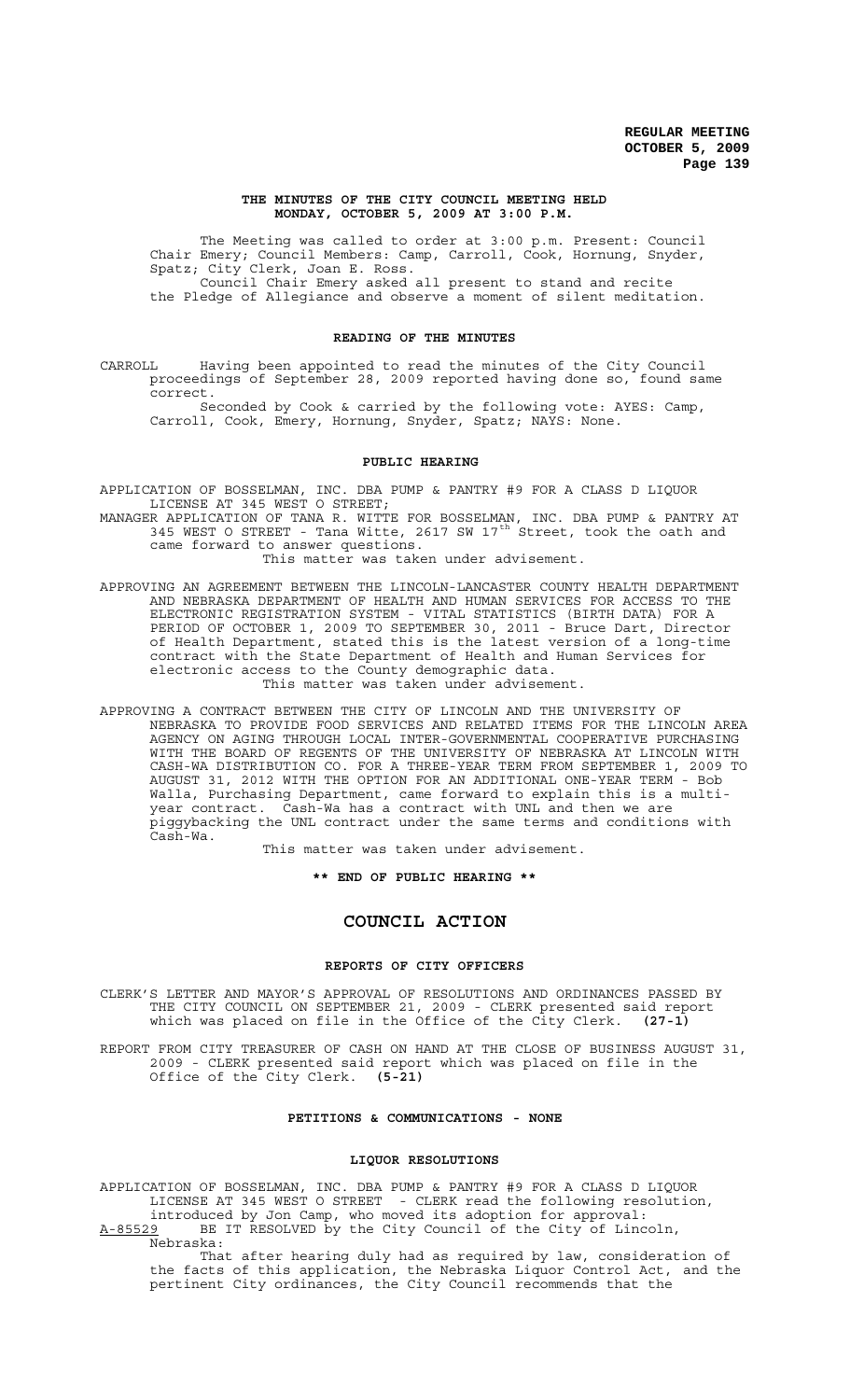#### **THE MINUTES OF THE CITY COUNCIL MEETING HELD MONDAY, OCTOBER 5, 2009 AT 3:00 P.M.**

The Meeting was called to order at 3:00 p.m. Present: Council Chair Emery; Council Members: Camp, Carroll, Cook, Hornung, Snyder, Spatz; City Clerk, Joan E. Ross. Council Chair Emery asked all present to stand and recite

the Pledge of Allegiance and observe a moment of silent meditation.

# **READING OF THE MINUTES**

CARROLL Having been appointed to read the minutes of the City Council proceedings of September 28, 2009 reported having done so, found same correct.

Seconded by Cook & carried by the following vote: AYES: Camp, Carroll, Cook, Emery, Hornung, Snyder, Spatz; NAYS: None.

# **PUBLIC HEARING**

APPLICATION OF BOSSELMAN, INC. DBA PUMP & PANTRY #9 FOR A CLASS D LIQUOR LICENSE AT 345 WEST O STREET;

MANAGER APPLICATION OF TANA R. WITTE FOR BOSSELMAN, INC. DBA PUMP & PANTRY AT 345 WEST O STREET - Tana Witte, 2617 SW 17<sup>th</sup> Street, took the oath and came forward to answer questions. This matter was taken under advisement.

APPROVING AN AGREEMENT BETWEEN THE LINCOLN-LANCASTER COUNTY HEALTH DEPARTMENT AND NEBRASKA DEPARTMENT OF HEALTH AND HUMAN SERVICES FOR ACCESS TO THE ELECTRONIC REGISTRATION SYSTEM - VITAL STATISTICS (BIRTH DATA) FOR A PERIOD OF OCTOBER 1, 2009 TO SEPTEMBER 30, 2011 - Bruce Dart, Director of Health Department, stated this is the latest version of a long-time contract with the State Department of Health and Human Services for electronic access to the County demographic data. This matter was taken under advisement.

APPROVING A CONTRACT BETWEEN THE CITY OF LINCOLN AND THE UNIVERSITY OF NEBRASKA TO PROVIDE FOOD SERVICES AND RELATED ITEMS FOR THE LINCOLN AREA AGENCY ON AGING THROUGH LOCAL INTER-GOVERNMENTAL COOPERATIVE PURCHASING WITH THE BOARD OF REGENTS OF THE UNIVERSITY OF NEBRASKA AT LINCOLN WITH CASH-WA DISTRIBUTION CO. FOR A THREE-YEAR TERM FROM SEPTEMBER 1, 2009 TO AUGUST 31, 2012 WITH THE OPTION FOR AN ADDITIONAL ONE-YEAR TERM - Bob Walla, Purchasing Department, came forward to explain this is a multiyear contract. Cash-Wa has a contract with UNL and then we are piggybacking the UNL contract under the same terms and conditions with Cash-Wa.

This matter was taken under advisement.

**\*\* END OF PUBLIC HEARING \*\***

## **COUNCIL ACTION**

## **REPORTS OF CITY OFFICERS**

CLERK'S LETTER AND MAYOR'S APPROVAL OF RESOLUTIONS AND ORDINANCES PASSED BY THE CITY COUNCIL ON SEPTEMBER 21, 2009 - CLERK presented said report which was placed on file in the Office of the City Clerk. **(27-1)**

REPORT FROM CITY TREASURER OF CASH ON HAND AT THE CLOSE OF BUSINESS AUGUST 31, 2009 - CLERK presented said report which was placed on file in the Office of the City Clerk. **(5-21)**

## **PETITIONS & COMMUNICATIONS - NONE**

#### **LIQUOR RESOLUTIONS**

APPLICATION OF BOSSELMAN, INC. DBA PUMP & PANTRY #9 FOR A CLASS D LIQUOR LICENSE AT 345 WEST O STREET - CLERK read the following resolution, introduced by Jon Camp, who moved its adoption for approval: A-85529 BE IT RESOLVED by the City Council of the City of Lincoln,

A-85529 BE

That after hearing duly had as required by law, consideration of the facts of this application, the Nebraska Liquor Control Act, and the pertinent City ordinances, the City Council recommends that the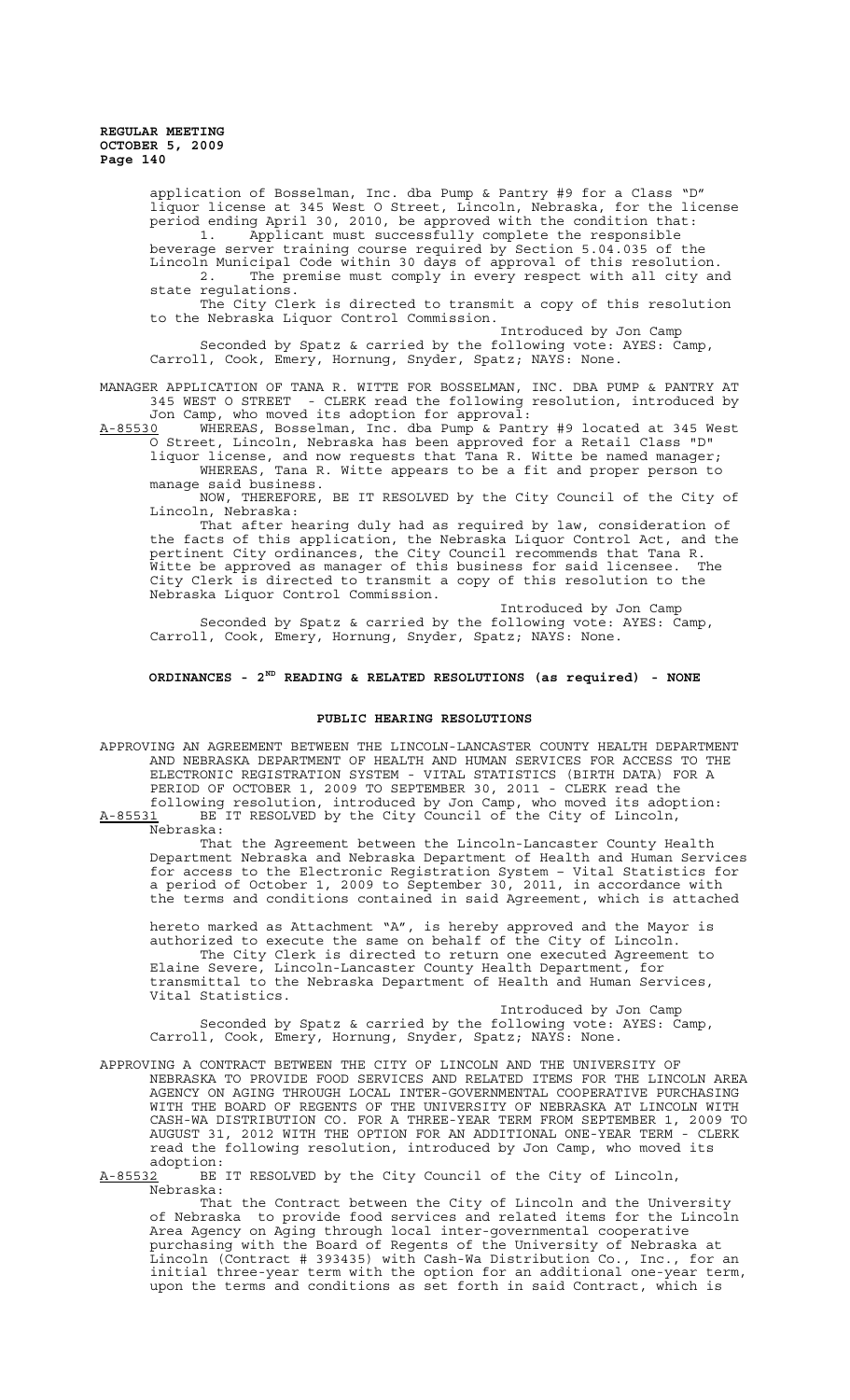application of Bosselman, Inc. dba Pump & Pantry #9 for a Class "D" liquor license at 345 West O Street, Lincoln, Nebraska, for the license period ending April 30, 2010, be approved with the condition that: 1. Applicant must successfully complete the responsible beverage server training course required by Section 5.04.035 of the Lincoln Municipal Code within 30 days of approval of this resolution. 2. The premise must comply in every respect with all city and

state regulations. The City Clerk is directed to transmit a copy of this resolution to the Nebraska Liquor Control Commission.

Introduced by Jon Camp Seconded by Spatz & carried by the following vote: AYES: Camp, Carroll, Cook, Emery, Hornung, Snyder, Spatz; NAYS: None.

MANAGER APPLICATION OF TANA R. WITTE FOR BOSSELMAN, INC. DBA PUMP & PANTRY AT 345 WEST O STREET - CLERK read the following resolution, introduced by Jon Camp, who moved its adoption for approval:

A-85530 WHEREAS, Bosselman, Inc. dba Pump & Pantry #9 located at 345 West O Street, Lincoln, Nebraska has been approved for a Retail Class "D" liquor license, and now requests that Tana R. Witte be named manager; WHEREAS, Tana R. Witte appears to be a fit and proper person to

manage said business. NOW, THEREFORE, BE IT RESOLVED by the City Council of the City of

Lincoln, Nebraska:

That after hearing duly had as required by law, consideration of the facts of this application, the Nebraska Liquor Control Act, and the pertinent City ordinances, the City Council recommends that Tana R. Witte be approved as manager of this business for said licensee. The City Clerk is directed to transmit a copy of this resolution to the Nebraska Liquor Control Commission.

Introduced by Jon Camp Seconded by Spatz & carried by the following vote: AYES: Camp, Carroll, Cook, Emery, Hornung, Snyder, Spatz; NAYS: None.

## **ORDINANCES - 2ND READING & RELATED RESOLUTIONS (as required) - NONE**

## **PUBLIC HEARING RESOLUTIONS**

APPROVING AN AGREEMENT BETWEEN THE LINCOLN-LANCASTER COUNTY HEALTH DEPARTMENT AND NEBRASKA DEPARTMENT OF HEALTH AND HUMAN SERVICES FOR ACCESS TO THE ELECTRONIC REGISTRATION SYSTEM - VITAL STATISTICS (BIRTH DATA) FOR A PERIOD OF OCTOBER 1, 2009 TO SEPTEMBER 30, 2011 - CLERK read the following resolution, introduced by Jon Camp, who moved its adoption: A-85531 BE IT RESOLVED by the City Council of the City of Lincoln,

Nebraska:

That the Agreement between the Lincoln-Lancaster County Health Department Nebraska and Nebraska Department of Health and Human Services for access to the Electronic Registration System – Vital Statistics for a period of October 1, 2009 to September 30, 2011, in accordance with the terms and conditions contained in said Agreement, which is attached

hereto marked as Attachment "A", is hereby approved and the Mayor is authorized to execute the same on behalf of the City of Lincoln. The City Clerk is directed to return one executed Agreement to Elaine Severe, Lincoln-Lancaster County Health Department, for transmittal to the Nebraska Department of Health and Human Services, Vital Statistics.

Introduced by Jon Camp Seconded by Spatz & carried by the following vote: AYES: Camp, Carroll, Cook, Emery, Hornung, Snyder, Spatz; NAYS: None.

APPROVING A CONTRACT BETWEEN THE CITY OF LINCOLN AND THE UNIVERSITY OF NEBRASKA TO PROVIDE FOOD SERVICES AND RELATED ITEMS FOR THE LINCOLN AREA AGENCY ON AGING THROUGH LOCAL INTER-GOVERNMENTAL COOPERATIVE PURCHASING WITH THE BOARD OF REGENTS OF THE UNIVERSITY OF NEBRASKA AT LINCOLN WITH CASH-WA DISTRIBUTION CO. FOR A THREE-YEAR TERM FROM SEPTEMBER 1, 2009 TO AUGUST 31, 2012 WITH THE OPTION FOR AN ADDITIONAL ONE-YEAR TERM - CLERK read the following resolution, introduced by Jon Camp, who moved its adoption:<br><u>A-85532</u> BE

BE IT RESOLVED by the City Council of the City of Lincoln, Nebraska:

That the Contract between the City of Lincoln and the University of Nebraska to provide food services and related items for the Lincoln Area Agency on Aging through local inter-governmental cooperative purchasing with the Board of Regents of the University of Nebraska at Lincoln (Contract # 393435) with Cash-Wa Distribution Co., Inc., for an initial three-year term with the option for an additional one-year term, upon the terms and conditions as set forth in said Contract, which is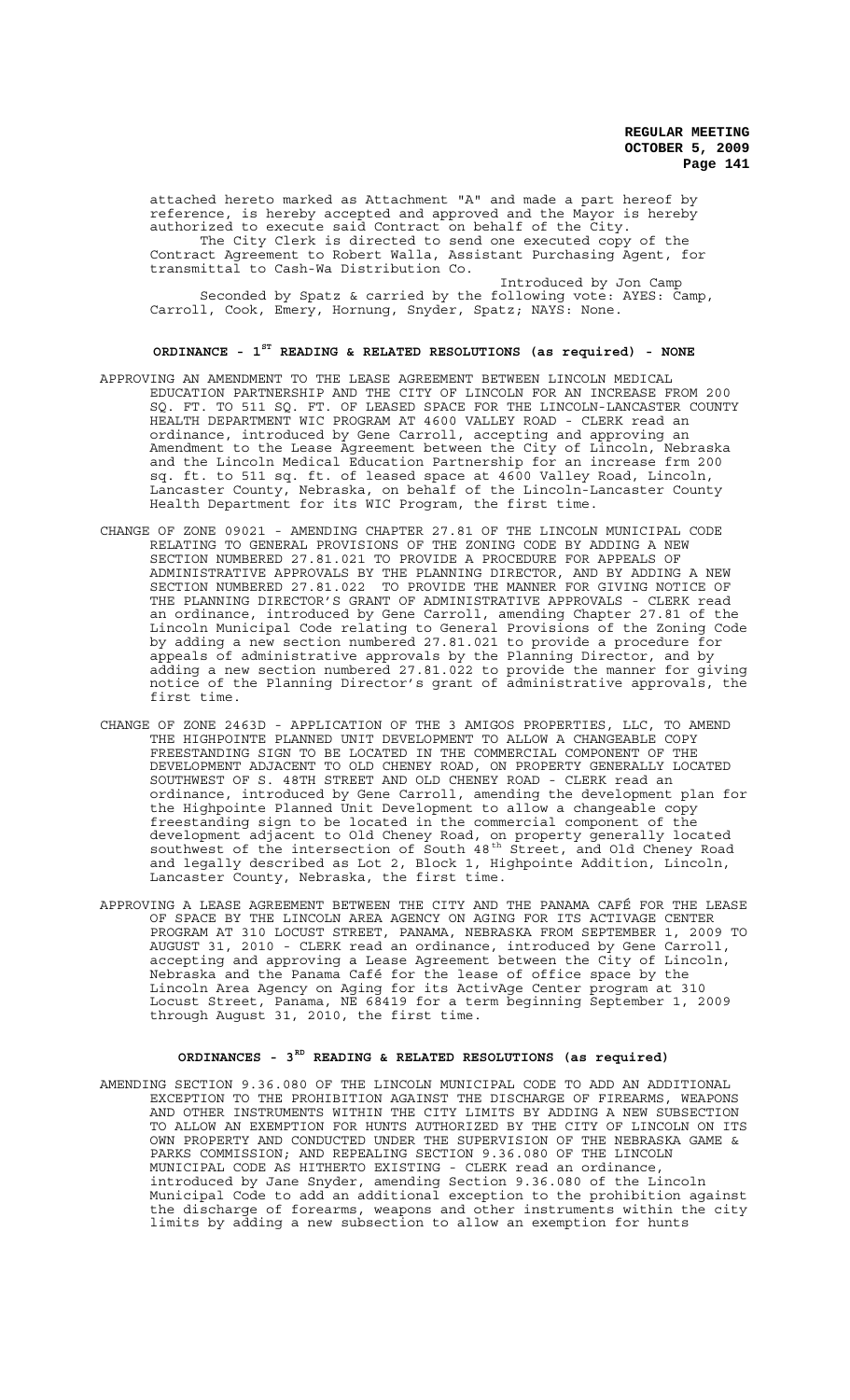attached hereto marked as Attachment "A" and made a part hereof by reference, is hereby accepted and approved and the Mayor is hereby authorized to execute said Contract on behalf of the City. The City Clerk is directed to send one executed copy of the Contract Agreement to Robert Walla, Assistant Purchasing Agent, for

transmittal to Cash-Wa Distribution Co.

Introduced by Jon Camp Seconded by Spatz & carried by the following vote: AYES: Camp, Carroll, Cook, Emery, Hornung, Snyder, Spatz; NAYS: None.

# **ORDINANCE - 1ST READING & RELATED RESOLUTIONS (as required) - NONE**

- APPROVING AN AMENDMENT TO THE LEASE AGREEMENT BETWEEN LINCOLN MEDICAL EDUCATION PARTNERSHIP AND THE CITY OF LINCOLN FOR AN INCREASE FROM 200 SQ. FT. TO 511 SQ. FT. OF LEASED SPACE FOR THE LINCOLN-LANCASTER COUNTY HEALTH DEPARTMENT WIC PROGRAM AT 4600 VALLEY ROAD - CLERK read an ordinance, introduced by Gene Carroll, accepting and approving an Amendment to the Lease Agreement between the City of Lincoln, Nebraska and the Lincoln Medical Education Partnership for an increase frm 200 sq. ft. to 511 sq. ft. of leased space at 4600 Valley Road, Lincoln, Lancaster County, Nebraska, on behalf of the Lincoln-Lancaster County Health Department for its WIC Program, the first time.
- CHANGE OF ZONE 09021 AMENDING CHAPTER 27.81 OF THE LINCOLN MUNICIPAL CODE RELATING TO GENERAL PROVISIONS OF THE ZONING CODE BY ADDING A NEW SECTION NUMBERED 27.81.021 TO PROVIDE A PROCEDURE FOR APPEALS OF ADMINISTRATIVE APPROVALS BY THE PLANNING DIRECTOR, AND BY ADDING A NEW SECTION NUMBERED 27.81.022 TO PROVIDE THE MANNER FOR GIVING NOTICE OF THE PLANNING DIRECTOR'S GRANT OF ADMINISTRATIVE APPROVALS - CLERK read an ordinance, introduced by Gene Carroll, amending Chapter 27.81 of the Lincoln Municipal Code relating to General Provisions of the Zoning Code by adding a new section numbered 27.81.021 to provide a procedure for appeals of administrative approvals by the Planning Director, and by adding a new section numbered 27.81.022 to provide the manner for giving notice of the Planning Director's grant of administrative approvals, the first time.
- CHANGE OF ZONE 2463D APPLICATION OF THE 3 AMIGOS PROPERTIES, LLC, TO AMEND THE HIGHPOINTE PLANNED UNIT DEVELOPMENT TO ALLOW A CHANGEABLE COPY FREESTANDING SIGN TO BE LOCATED IN THE COMMERCIAL COMPONENT OF THE DEVELOPMENT ADJACENT TO OLD CHENEY ROAD, ON PROPERTY GENERALLY LOCATED SOUTHWEST OF S. 48TH STREET AND OLD CHENEY ROAD - CLERK read an ordinance, introduced by Gene Carroll, amending the development plan for the Highpointe Planned Unit Development to allow a changeable copy freestanding sign to be located in the commercial component of the development adjacent to Old Cheney Road, on property generally located southwest of the intersection of South 48<sup>th</sup> Street, and Old Cheney Road and legally described as Lot 2, Block 1, Highpointe Addition, Lincoln, Lancaster County, Nebraska, the first time.
- APPROVING A LEASE AGREEMENT BETWEEN THE CITY AND THE PANAMA CAFÉ FOR THE LEASE OF SPACE BY THE LINCOLN AREA AGENCY ON AGING FOR ITS ACTIVAGE CENTER PROGRAM AT 310 LOCUST STREET, PANAMA, NEBRASKA FROM SEPTEMBER 1, 2009 TO AUGUST 31, 2010 - CLERK read an ordinance, introduced by Gene Carroll, accepting and approving a Lease Agreement between the City of Lincoln, Nebraska and the Panama Café for the lease of office space by the Lincoln Area Agency on Aging for its ActivAge Center program at 310 Locust Street, Panama, NE 68419 for a term beginning September 1, 2009 through August 31, 2010, the first time.

# **ORDINANCES - 3RD READING & RELATED RESOLUTIONS (as required)**

AMENDING SECTION 9.36.080 OF THE LINCOLN MUNICIPAL CODE TO ADD AN ADDITIONAL EXCEPTION TO THE PROHIBITION AGAINST THE DISCHARGE OF FIREARMS, WEAPONS AND OTHER INSTRUMENTS WITHIN THE CITY LIMITS BY ADDING A NEW SUBSECTION TO ALLOW AN EXEMPTION FOR HUNTS AUTHORIZED BY THE CITY OF LINCOLN ON ITS OWN PROPERTY AND CONDUCTED UNDER THE SUPERVISION OF THE NEBRASKA GAME & PARKS COMMISSION; AND REPEALING SECTION 9.36.080 OF THE LINCOLN MUNICIPAL CODE AS HITHERTO EXISTING - CLERK read an ordinance, introduced by Jane Snyder, amending Section 9.36.080 of the Lincoln Municipal Code to add an additional exception to the prohibition against the discharge of forearms, weapons and other instruments within the city limits by adding a new subsection to allow an exemption for hunts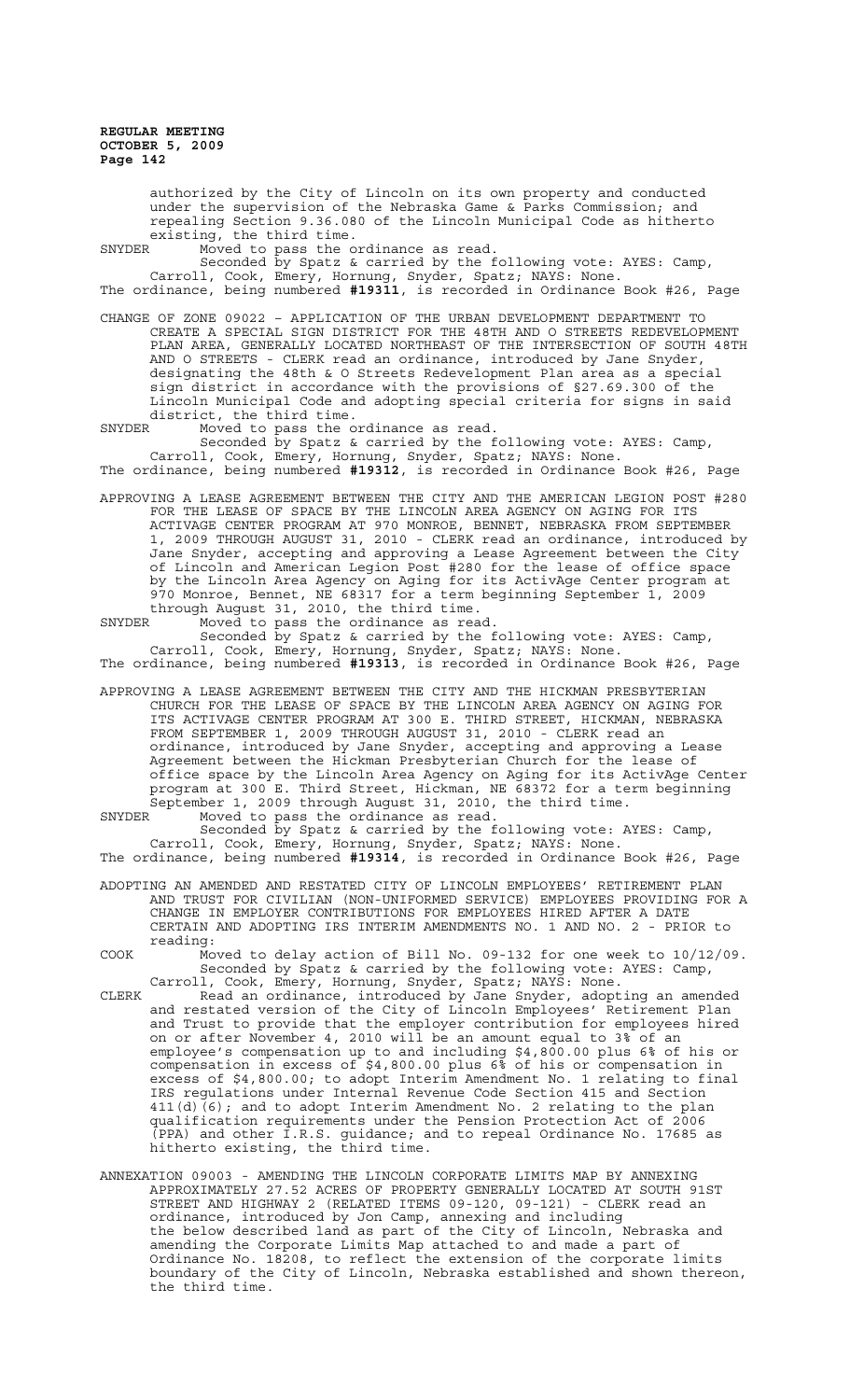authorized by the City of Lincoln on its own property and conducted under the supervision of the Nebraska Game & Parks Commission; and repealing Section 9.36.080 of the Lincoln Municipal Code as hitherto existing, the third time.<br>SNYDER Moved to pass the o

SNYDER Moved to pass the ordinance as read.

Seconded by Spatz & carried by the following vote: AYES: Camp, Carroll, Cook, Emery, Hornung, Snyder, Spatz; NAYS: None. The ordinance, being numbered **#19311**, is recorded in Ordinance Book #26, Page

CHANGE OF ZONE 09022 – APPLICATION OF THE URBAN DEVELOPMENT DEPARTMENT TO CREATE A SPECIAL SIGN DISTRICT FOR THE 48TH AND O STREETS REDEVELOPMENT PLAN AREA, GENERALLY LOCATED NORTHEAST OF THE INTERSECTION OF SOUTH 48TH AND O STREETS - CLERK read an ordinance, introduced by Jane Snyder, designating the 48th & O Streets Redevelopment Plan area as a special sign district in accordance with the provisions of §27.69.300 of the Lincoln Municipal Code and adopting special criteria for signs in said district, the third time.

SNYDER Moved to pass the ordinance as read.

Seconded by Spatz & carried by the following vote: AYES: Camp, Carroll, Cook, Emery, Hornung, Snyder, Spatz; NAYS: None. The ordinance, being numbered **#19312**, is recorded in Ordinance Book #26, Page

APPROVING A LEASE AGREEMENT BETWEEN THE CITY AND THE AMERICAN LEGION POST #280 FOR THE LEASE OF SPACE BY THE LINCOLN AREA AGENCY ON AGING FOR ITS ACTIVAGE CENTER PROGRAM AT 970 MONROE, BENNET, NEBRASKA FROM SEPTEMBER 1, 2009 THROUGH AUGUST 31, 2010 - CLERK read an ordinance, introduced by Jane Snyder, accepting and approving a Lease Agreement between the City of Lincoln and American Legion Post #280 for the lease of office space by the Lincoln Area Agency on Aging for its ActivAge Center program at 970 Monroe, Bennet, NE 68317 for a term beginning September 1, 2009 through August 31, 2010, the third time.

SNYDER Moved to pass the ordinance as read. Seconded by Spatz & carried by the following vote: AYES: Camp, Carroll, Cook, Emery, Hornung, Snyder, Spatz; NAYS: None. The ordinance, being numbered **#19313**, is recorded in Ordinance Book #26, Page

APPROVING A LEASE AGREEMENT BETWEEN THE CITY AND THE HICKMAN PRESBYTERIAN CHURCH FOR THE LEASE OF SPACE BY THE LINCOLN AREA AGENCY ON AGING FOR ITS ACTIVAGE CENTER PROGRAM AT 300 E. THIRD STREET, HICKMAN, NEBRASKA FROM SEPTEMBER 1, 2009 THROUGH AUGUST 31, 2010 - CLERK read an ordinance, introduced by Jane Snyder, accepting and approving a Lease Agreement between the Hickman Presbyterian Church for the lease of office space by the Lincoln Area Agency on Aging for its ActivAge Center program at 300 E. Third Street, Hickman, NE 68372 for a term beginning September 1, 2009 through August 31, 2010, the third time.

SNYDER Moved to pass the ordinance as read. Seconded by Spatz & carried by the following vote: AYES: Camp, Carroll, Cook, Emery, Hornung, Snyder, Spatz; NAYS: None. The ordinance, being numbered **#19314**, is recorded in Ordinance Book #26, Page

ADOPTING AN AMENDED AND RESTATED CITY OF LINCOLN EMPLOYEES' RETIREMENT PLAN AND TRUST FOR CIVILIAN (NON-UNIFORMED SERVICE) EMPLOYEES PROVIDING FOR A CHANGE IN EMPLOYER CONTRIBUTIONS FOR EMPLOYEES HIRED AFTER A DATE CERTAIN AND ADOPTING IRS INTERIM AMENDMENTS NO. 1 AND NO. 2 - PRIOR to reading:

COOK Moved to delay action of Bill No. 09-132 for one week to 10/12/09. Seconded by Spatz & carried by the following vote: AYES: Camp, Carroll, Cook, Emery, Hornung, Snyder, Spatz; NAYS: None.

- CLERK Read an ordinance, introduced by Jane Snyder, adopting an amended and restated version of the City of Lincoln Employees' Retirement Plan and Trust to provide that the employer contribution for employees hired on or after November 4, 2010 will be an amount equal to 3% of an employee's compensation up to and including \$4,800.00 plus 6% of his or compensation in excess of \$4,800.00 plus 6% of his or compensation in excess of \$4,800.00; to adopt Interim Amendment No. 1 relating to final IRS regulations under Internal Revenue Code Section 415 and Section  $411(d)(6)$ ; and to adopt Interim Amendment No. 2 relating to the plan qualification requirements under the Pension Protection Act of 2006  $\overline{(\texttt{PPA})}$  and other I.R.S. guidance; and to repeal Ordinance No. 17685 as hitherto existing, the third time.
- ANNEXATION 09003 AMENDING THE LINCOLN CORPORATE LIMITS MAP BY ANNEXING APPROXIMATELY 27.52 ACRES OF PROPERTY GENERALLY LOCATED AT SOUTH 91ST STREET AND HIGHWAY 2 (RELATED ITEMS 09-120, 09-121) - CLERK read an ordinance, introduced by Jon Camp, annexing and including the below described land as part of the City of Lincoln, Nebraska and amending the Corporate Limits Map attached to and made a part of Ordinance No. 18208, to reflect the extension of the corporate limits boundary of the City of Lincoln, Nebraska established and shown thereon, the third time.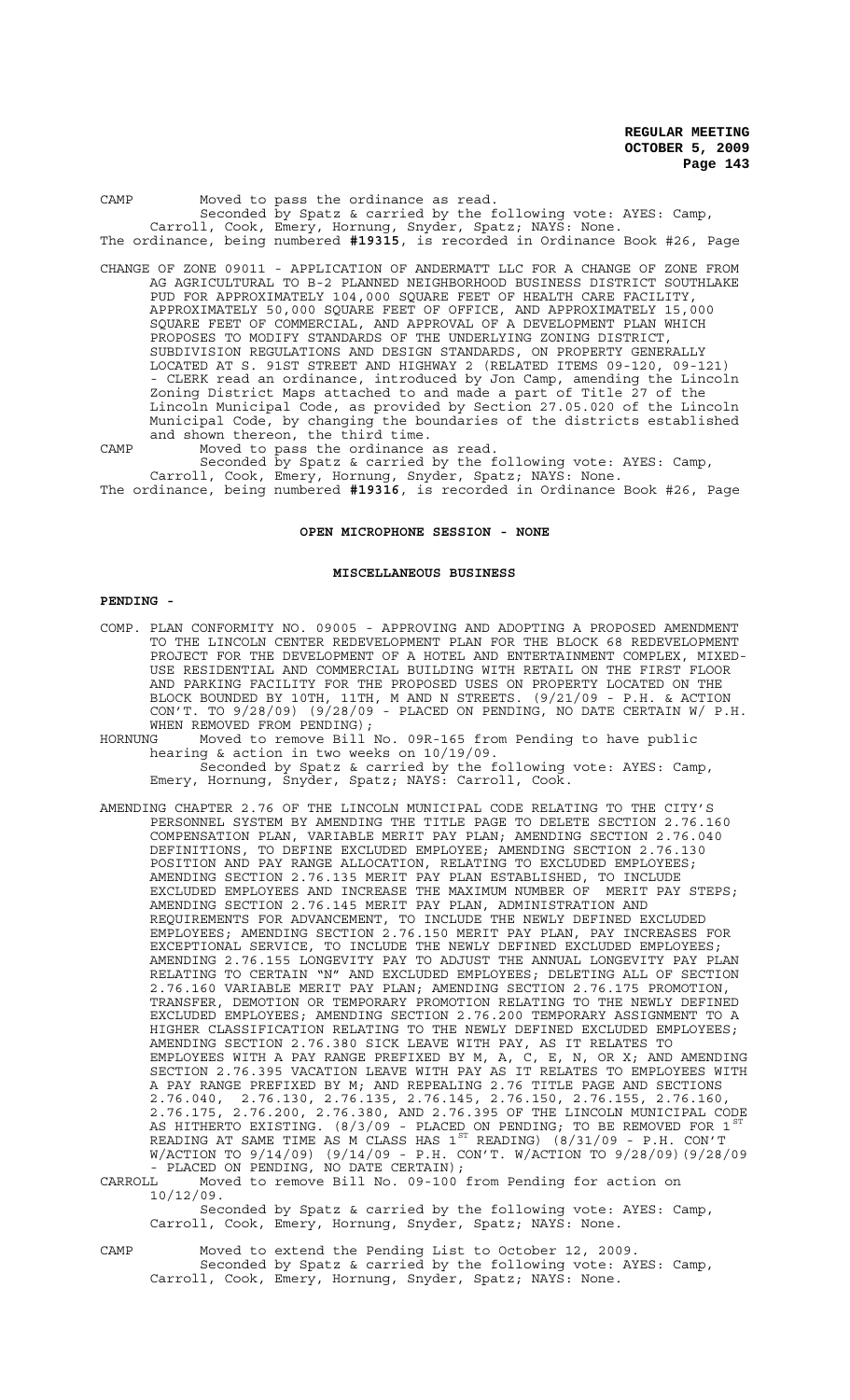| CAMP | Moved to pass the ordinance as read.                                          |
|------|-------------------------------------------------------------------------------|
|      | Seconded by Spatz & carried by the following vote: AYES: Camp,                |
|      | Carroll, Cook, Emery, Hornung, Snyder, Spatz; NAYS: None.                     |
|      | The ordinance, being numbered #19315, is recorded in Ordinance Book #26, Page |
|      | CHANGE OF ZONE 09011 - APPLICATION OF ANDERMATT LLC FOR A CHANGE OF ZONE FROM |
|      | AG AGRICULTURAL TO B-2 PLANNED NEIGHBORHOOD BUSINESS DISTRICT SOUTHLAKE       |
|      | PUD FOR APPROXIMATELY 104,000 SOUARE FEET OF HEALTH CARE FACILITY,            |
|      | APPROXIMATELY 50,000 SOUARE FEET OF OFFICE, AND APPROXIMATELY 15,000          |
|      | SOUARE FEET OF COMMERCIAL, AND APPROVAL OF A DEVELOPMENT PLAN WHICH           |
|      | PROPOSES TO MODIFY STANDARDS OF THE UNDERLYING ZONING DISTRICT,               |
|      | SUBDIVISION REGULATIONS AND DESIGN STANDARDS, ON PROPERTY GENERALLY           |
|      | LOCATED AT S. 91ST STREET AND HIGHWAY 2 (RELATED ITEMS 09-120, 09-121)        |
|      | - CLERK read an ordinance, introduced by Jon Camp, amending the Lincoln       |
|      | Zoning District Maps attached to and made a part of Title 27 of the           |
|      | Lincoln Municipal Code, as provided by Section 27.05.020 of the Lincoln       |
|      | Municipal Code, by changing the boundaries of the districts established       |

manitipal code, by changing the bow CAMP Moved to pass the ordinance as read. Seconded by Spatz & carried by the following vote: AYES: Camp,

Carroll, Cook, Emery, Hornung, Snyder, Spatz; NAYS: None. The ordinance, being numbered **#19316**, is recorded in Ordinance Book #26, Page

## **OPEN MICROPHONE SESSION - NONE**

#### **MISCELLANEOUS BUSINESS**

#### **PENDING -**

- COMP. PLAN CONFORMITY NO. 09005 APPROVING AND ADOPTING A PROPOSED AMENDMENT TO THE LINCOLN CENTER REDEVELOPMENT PLAN FOR THE BLOCK 68 REDEVELOPMENT PROJECT FOR THE DEVELOPMENT OF A HOTEL AND ENTERTAINMENT COMPLEX, MIXED-USE RESIDENTIAL AND COMMERCIAL BUILDING WITH RETAIL ON THE FIRST FLOOR AND PARKING FACILITY FOR THE PROPOSED USES ON PROPERTY LOCATED ON THE BLOCK BOUNDED BY 10TH, 11TH, M AND N STREETS. (9/21/09 - P.H. & ACTION CON'T. TO 9/28/09) (9/28/09 - PLACED ON PENDING, NO DATE CERTAIN W/ P.H. WHEN REMOVED FROM PENDING);
- HORNUNG Moved to remove Bill No. 09R-165 from Pending to have public hearing & action in two weeks on 10/19/09. Seconded by Spatz & carried by the following vote: AYES: Camp, Emery, Hornung, Snyder, Spatz; NAYS: Carroll, Cook.
- AMENDING CHAPTER 2.76 OF THE LINCOLN MUNICIPAL CODE RELATING TO THE CITY'S PERSONNEL SYSTEM BY AMENDING THE TITLE PAGE TO DELETE SECTION 2.76.160 COMPENSATION PLAN, VARIABLE MERIT PAY PLAN; AMENDING SECTION 2.76.040 DEFINITIONS, TO DEFINE EXCLUDED EMPLOYEE; AMENDING SECTION 2.76.130 POSITION AND PAY RANGE ALLOCATION, RELATING TO EXCLUDED EMPLOYEES; AMENDING SECTION 2.76.135 MERIT PAY PLAN ESTABLISHED, TO INCLUDE EXCLUDED EMPLOYEES AND INCREASE THE MAXIMUM NUMBER OF MERIT PAY STEPS; AMENDING SECTION 2.76.145 MERIT PAY PLAN, ADMINISTRATION AND REQUIREMENTS FOR ADVANCEMENT, TO INCLUDE THE NEWLY DEFINED EXCLUDED EMPLOYEES; AMENDING SECTION 2.76.150 MERIT PAY PLAN, PAY INCREASES FOR EXCEPTIONAL SERVICE, TO INCLUDE THE NEWLY DEFINED EXCLUDED EMPLOYEES; AMENDING 2.76.155 LONGEVITY PAY TO ADJUST THE ANNUAL LONGEVITY PAY PLAN RELATING TO CERTAIN "N" AND EXCLUDED EMPLOYEES; DELETING ALL OF SECTION 2.76.160 VARIABLE MERIT PAY PLAN; AMENDING SECTION 2.76.175 PROMOTION, TRANSFER, DEMOTION OR TEMPORARY PROMOTION RELATING TO THE NEWLY DEFINED EXCLUDED EMPLOYEES; AMENDING SECTION 2.76.200 TEMPORARY ASSIGNMENT TO A HIGHER CLASSIFICATION RELATING TO THE NEWLY DEFINED EXCLUDED EMPLOYEES; AMENDING SECTION 2.76.380 SICK LEAVE WITH PAY, AS IT RELATES TO EMPLOYEES WITH A PAY RANGE PREFIXED BY M, A, C, E, N, OR X; AND AMENDING SECTION 2.76.395 VACATION LEAVE WITH PAY AS IT RELATES TO EMPLOYEES WITH A PAY RANGE PREFIXED BY M; AND REPEALING 2.76 TITLE PAGE AND SECTIONS 2.76.040, 2.76.130, 2.76.135, 2.76.145, 2.76.150, 2.76.155, 2.76.160, 2.76.175, 2.76.200, 2.76.380, AND 2.76.395 OF THE LINCOLN MUNICIPAL CODE AS HITHERTO EXISTING. (8/3/09 - PLACED ON PENDING; TO BE REMOVED FOR 1  $^{\mathrm{ST}}$ READING AT SAME TIME AS M CLASS HAS  $1^{ST}$  READING) (8/31/09 - P.H. CON'T W/ACTION TO 9/14/09) (9/14/09 - P.H. CON'T. W/ACTION TO 9/28/09)(9/28/09 - PLACED ON PENDING, NO DATE CERTAIN);

CARROLL Moved to remove Bill No. 09-100 from Pending for action on 10/12/09.

Seconded by Spatz & carried by the following vote: AYES: Camp, Carroll, Cook, Emery, Hornung, Snyder, Spatz; NAYS: None.

CAMP Moved to extend the Pending List to October 12, 2009. Seconded by Spatz & carried by the following vote: AYES: Camp, Carroll, Cook, Emery, Hornung, Snyder, Spatz; NAYS: None.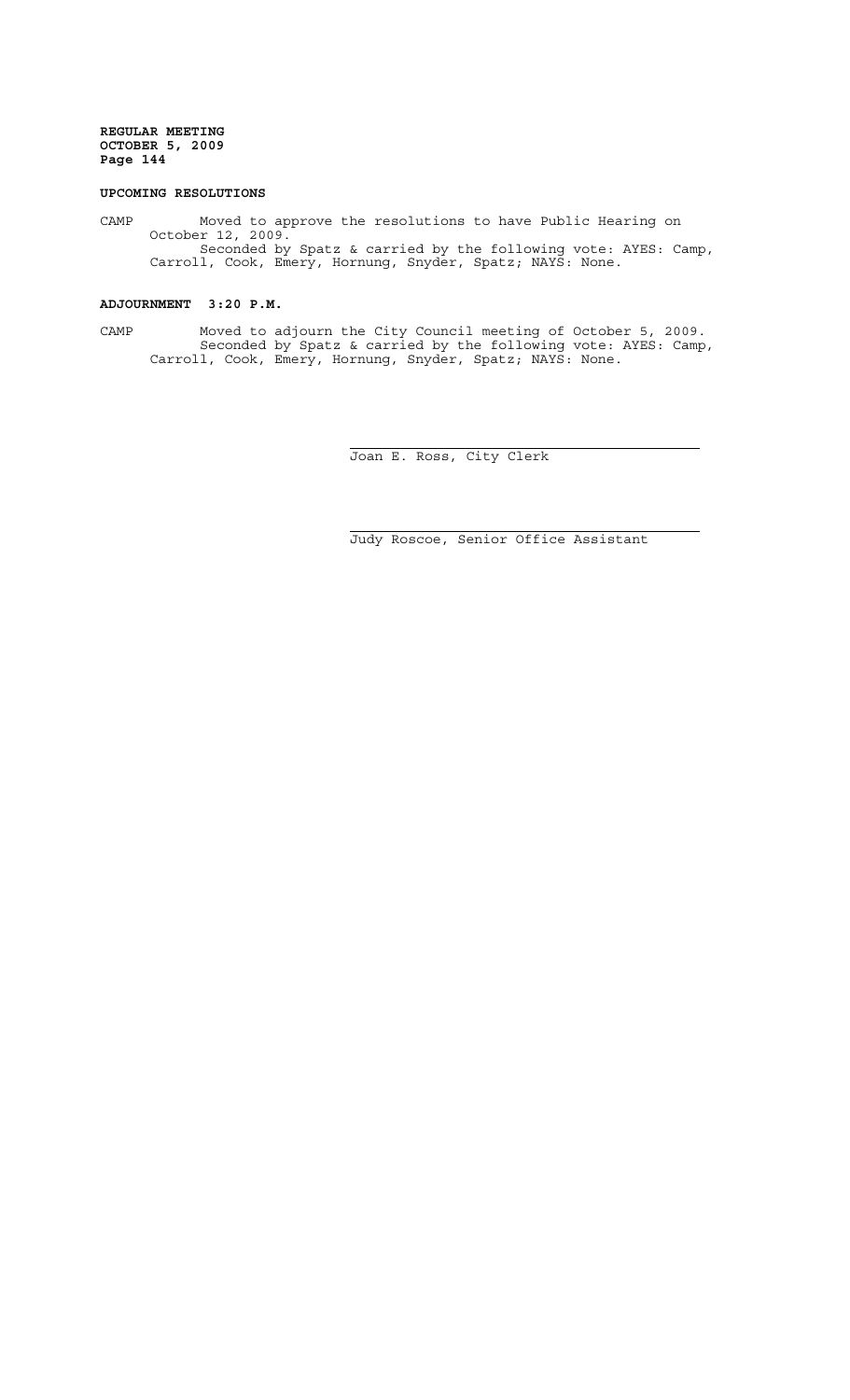# **UPCOMING RESOLUTIONS**

CAMP Moved to approve the resolutions to have Public Hearing on October 12, 2009. Seconded by Spatz & carried by the following vote: AYES: Camp, Carroll, Cook, Emery, Hornung, Snyder, Spatz; NAYS: None.

# **ADJOURNMENT 3:20 P.M.**

CAMP Moved to adjourn the City Council meeting of October 5, 2009. Seconded by Spatz & carried by the following vote: AYES: Camp, Carroll, Cook, Emery, Hornung, Snyder, Spatz; NAYS: None.

 $\overline{a}$ 

i

Joan E. Ross, City Clerk

Judy Roscoe, Senior Office Assistant